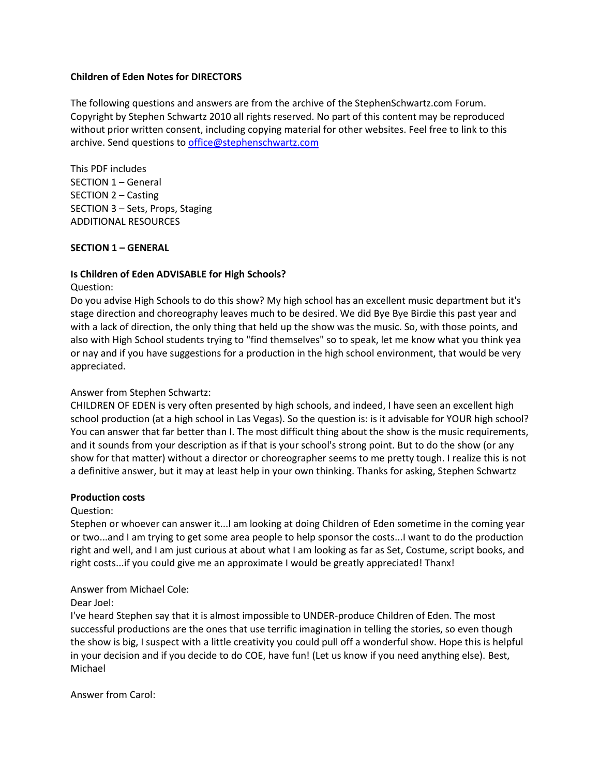### **Children of Eden Notes for DIRECTORS**

The following questions and answers are from the archive of the StephenSchwartz.com Forum. Copyright by Stephen Schwartz 2010 all rights reserved. No part of this content may be reproduced without prior written consent, including copying material for other websites. Feel free to link to this archive. Send questions to [office@stephenschwartz.com](mailto:office@stephenschwartz.com)

This PDF includes SECTION 1 – General SECTION 2 – Casting SECTION 3 – Sets, Props, Staging ADDITIONAL RESOURCES

### **SECTION 1 – GENERAL**

### **Is Children of Eden ADVISABLE for High Schools?**

#### Question:

Do you advise High Schools to do this show? My high school has an excellent music department but it's stage direction and choreography leaves much to be desired. We did Bye Bye Birdie this past year and with a lack of direction, the only thing that held up the show was the music. So, with those points, and also with High School students trying to "find themselves" so to speak, let me know what you think yea or nay and if you have suggestions for a production in the high school environment, that would be very appreciated.

#### Answer from Stephen Schwartz:

CHILDREN OF EDEN is very often presented by high schools, and indeed, I have seen an excellent high school production (at a high school in Las Vegas). So the question is: is it advisable for YOUR high school? You can answer that far better than I. The most difficult thing about the show is the music requirements, and it sounds from your description as if that is your school's strong point. But to do the show (or any show for that matter) without a director or choreographer seems to me pretty tough. I realize this is not a definitive answer, but it may at least help in your own thinking. Thanks for asking, Stephen Schwartz

#### **Production costs**

#### Question:

Stephen or whoever can answer it...I am looking at doing Children of Eden sometime in the coming year or two...and I am trying to get some area people to help sponsor the costs...I want to do the production right and well, and I am just curious at about what I am looking as far as Set, Costume, script books, and right costs...if you could give me an approximate I would be greatly appreciated! Thanx!

### Answer from Michael Cole:

#### Dear Joel:

I've heard Stephen say that it is almost impossible to UNDER-produce Children of Eden. The most successful productions are the ones that use terrific imagination in telling the stories, so even though the show is big, I suspect with a little creativity you could pull off a wonderful show. Hope this is helpful in your decision and if you decide to do COE, have fun! (Let us know if you need anything else). Best, Michael

Answer from Carol: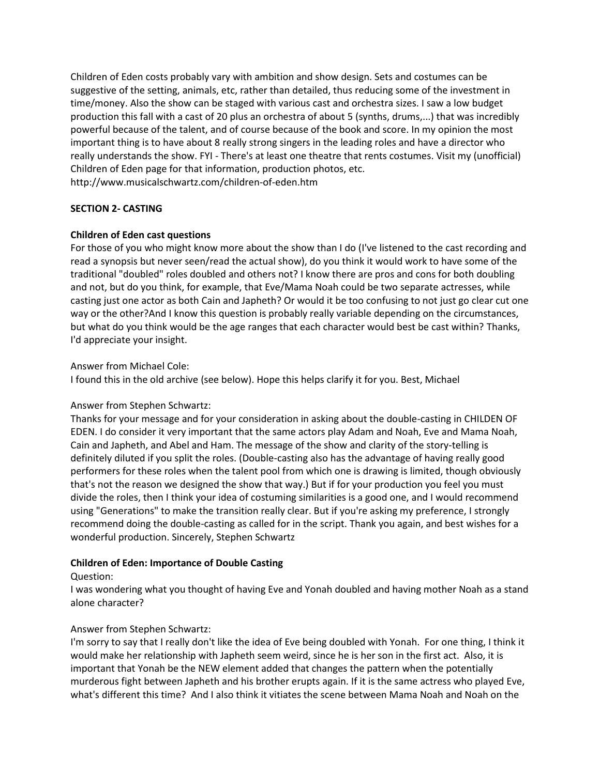Children of Eden costs probably vary with ambition and show design. Sets and costumes can be suggestive of the setting, animals, etc, rather than detailed, thus reducing some of the investment in time/money. Also the show can be staged with various cast and orchestra sizes. I saw a low budget production this fall with a cast of 20 plus an orchestra of about 5 (synths, drums,...) that was incredibly powerful because of the talent, and of course because of the book and score. In my opinion the most important thing is to have about 8 really strong singers in the leading roles and have a director who really understands the show. FYI - There's at least one theatre that rents costumes. Visit my (unofficial) Children of Eden page for that information, production photos, etc. http://www.musicalschwartz.com/children-of-eden.htm

### **SECTION 2- CASTING**

### **Children of Eden cast questions**

For those of you who might know more about the show than I do (I've listened to the cast recording and read a synopsis but never seen/read the actual show), do you think it would work to have some of the traditional "doubled" roles doubled and others not? I know there are pros and cons for both doubling and not, but do you think, for example, that Eve/Mama Noah could be two separate actresses, while casting just one actor as both Cain and Japheth? Or would it be too confusing to not just go clear cut one way or the other?And I know this question is probably really variable depending on the circumstances, but what do you think would be the age ranges that each character would best be cast within? Thanks, I'd appreciate your insight.

## Answer from Michael Cole:

I found this in the old archive (see below). Hope this helps clarify it for you. Best, Michael

### Answer from Stephen Schwartz:

Thanks for your message and for your consideration in asking about the double-casting in CHILDEN OF EDEN. I do consider it very important that the same actors play Adam and Noah, Eve and Mama Noah, Cain and Japheth, and Abel and Ham. The message of the show and clarity of the story-telling is definitely diluted if you split the roles. (Double-casting also has the advantage of having really good performers for these roles when the talent pool from which one is drawing is limited, though obviously that's not the reason we designed the show that way.) But if for your production you feel you must divide the roles, then I think your idea of costuming similarities is a good one, and I would recommend using "Generations" to make the transition really clear. But if you're asking my preference, I strongly recommend doing the double-casting as called for in the script. Thank you again, and best wishes for a wonderful production. Sincerely, Stephen Schwartz

# **Children of Eden: Importance of Double Casting**

### Question:

I was wondering what you thought of having Eve and Yonah doubled and having mother Noah as a stand alone character?

# Answer from Stephen Schwartz:

I'm sorry to say that I really don't like the idea of Eve being doubled with Yonah. For one thing, I think it would make her relationship with Japheth seem weird, since he is her son in the first act. Also, it is important that Yonah be the NEW element added that changes the pattern when the potentially murderous fight between Japheth and his brother erupts again. If it is the same actress who played Eve, what's different this time? And I also think it vitiates the scene between Mama Noah and Noah on the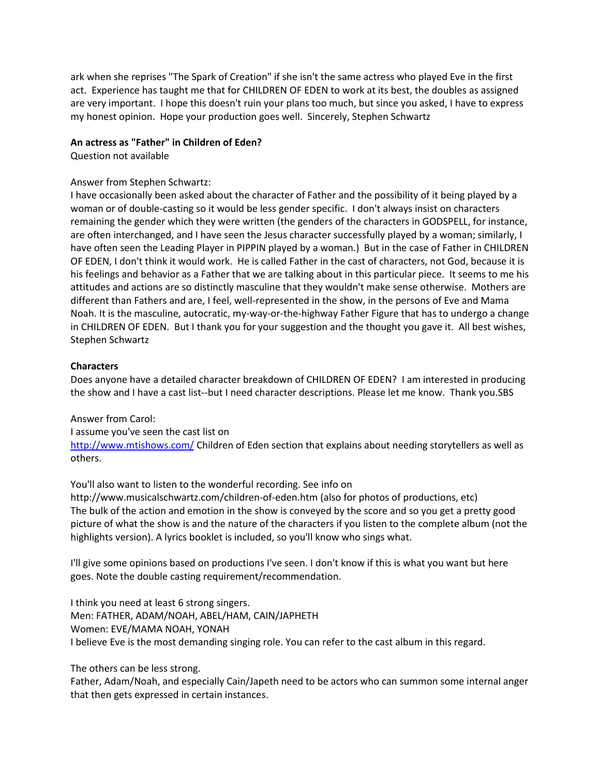ark when she reprises "The Spark of Creation" if she isn't the same actress who played Eve in the first act. Experience has taught me that for CHILDREN OF EDEN to work at its best, the doubles as assigned are very important. I hope this doesn't ruin your plans too much, but since you asked, I have to express my honest opinion. Hope your production goes well. Sincerely, Stephen Schwartz

# **An actress as "Father" in Children of Eden?**

Question not available

### Answer from Stephen Schwartz:

I have occasionally been asked about the character of Father and the possibility of it being played by a woman or of double-casting so it would be less gender specific. I don't always insist on characters remaining the gender which they were written (the genders of the characters in GODSPELL, for instance, are often interchanged, and I have seen the Jesus character successfully played by a woman; similarly, I have often seen the Leading Player in PIPPIN played by a woman.) But in the case of Father in CHILDREN OF EDEN, I don't think it would work. He is called Father in the cast of characters, not God, because it is his feelings and behavior as a Father that we are talking about in this particular piece. It seems to me his attitudes and actions are so distinctly masculine that they wouldn't make sense otherwise. Mothers are different than Fathers and are, I feel, well-represented in the show, in the persons of Eve and Mama Noah. It is the masculine, autocratic, my-way-or-the-highway Father Figure that has to undergo a change in CHILDREN OF EDEN. But I thank you for your suggestion and the thought you gave it. All best wishes, Stephen Schwartz

### **Characters**

Does anyone have a detailed character breakdown of CHILDREN OF EDEN? I am interested in producing the show and I have a cast list--but I need character descriptions. Please let me know. Thank you.SBS

### Answer from Carol:

I assume you've seen the cast list on <http://www.mtishows.com/> Children of Eden section that explains about needing storytellers as well as others.

You'll also want to listen to the wonderful recording. See info on

http://www.musicalschwartz.com/children-of-eden.htm (also for photos of productions, etc) The bulk of the action and emotion in the show is conveyed by the score and so you get a pretty good picture of what the show is and the nature of the characters if you listen to the complete album (not the highlights version). A lyrics booklet is included, so you'll know who sings what.

I'll give some opinions based on productions I've seen. I don't know if this is what you want but here goes. Note the double casting requirement/recommendation.

I think you need at least 6 strong singers. Men: FATHER, ADAM/NOAH, ABEL/HAM, CAIN/JAPHETH Women: EVE/MAMA NOAH, YONAH I believe Eve is the most demanding singing role. You can refer to the cast album in this regard.

### The others can be less strong.

Father, Adam/Noah, and especially Cain/Japeth need to be actors who can summon some internal anger that then gets expressed in certain instances.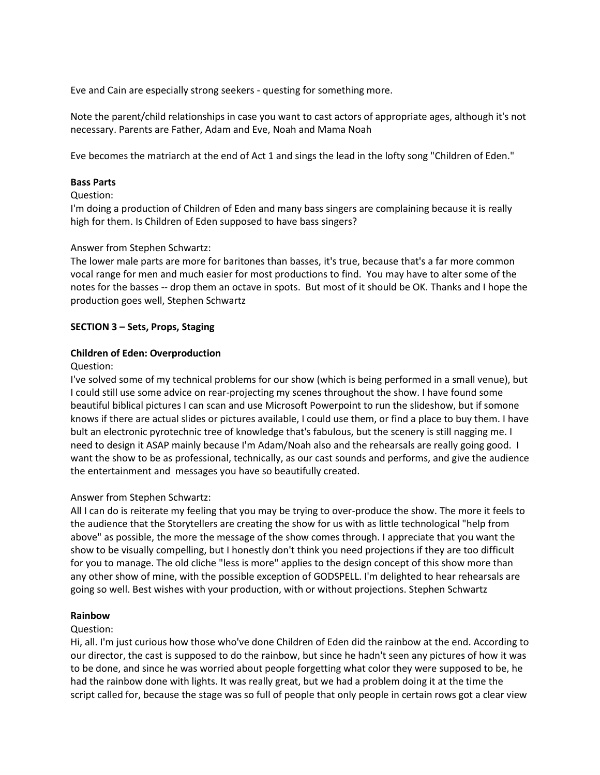Eve and Cain are especially strong seekers - questing for something more.

Note the parent/child relationships in case you want to cast actors of appropriate ages, although it's not necessary. Parents are Father, Adam and Eve, Noah and Mama Noah

Eve becomes the matriarch at the end of Act 1 and sings the lead in the lofty song "Children of Eden."

### **Bass Parts**

### Question:

I'm doing a production of Children of Eden and many bass singers are complaining because it is really high for them. Is Children of Eden supposed to have bass singers?

### Answer from Stephen Schwartz:

The lower male parts are more for baritones than basses, it's true, because that's a far more common vocal range for men and much easier for most productions to find. You may have to alter some of the notes for the basses -- drop them an octave in spots. But most of it should be OK. Thanks and I hope the production goes well, Stephen Schwartz

### **SECTION 3 – Sets, Props, Staging**

### **Children of Eden: Overproduction**

### Question:

I've solved some of my technical problems for our show (which is being performed in a small venue), but I could still use some advice on rear-projecting my scenes throughout the show. I have found some beautiful biblical pictures I can scan and use Microsoft Powerpoint to run the slideshow, but if somone knows if there are actual slides or pictures available, I could use them, or find a place to buy them. I have bult an electronic pyrotechnic tree of knowledge that's fabulous, but the scenery is still nagging me. I need to design it ASAP mainly because I'm Adam/Noah also and the rehearsals are really going good. I want the show to be as professional, technically, as our cast sounds and performs, and give the audience the entertainment and messages you have so beautifully created.

### Answer from Stephen Schwartz:

All I can do is reiterate my feeling that you may be trying to over-produce the show. The more it feels to the audience that the Storytellers are creating the show for us with as little technological "help from above" as possible, the more the message of the show comes through. I appreciate that you want the show to be visually compelling, but I honestly don't think you need projections if they are too difficult for you to manage. The old cliche "less is more" applies to the design concept of this show more than any other show of mine, with the possible exception of GODSPELL. I'm delighted to hear rehearsals are going so well. Best wishes with your production, with or without projections. Stephen Schwartz

### **Rainbow**

### Question:

Hi, all. I'm just curious how those who've done Children of Eden did the rainbow at the end. According to our director, the cast is supposed to do the rainbow, but since he hadn't seen any pictures of how it was to be done, and since he was worried about people forgetting what color they were supposed to be, he had the rainbow done with lights. It was really great, but we had a problem doing it at the time the script called for, because the stage was so full of people that only people in certain rows got a clear view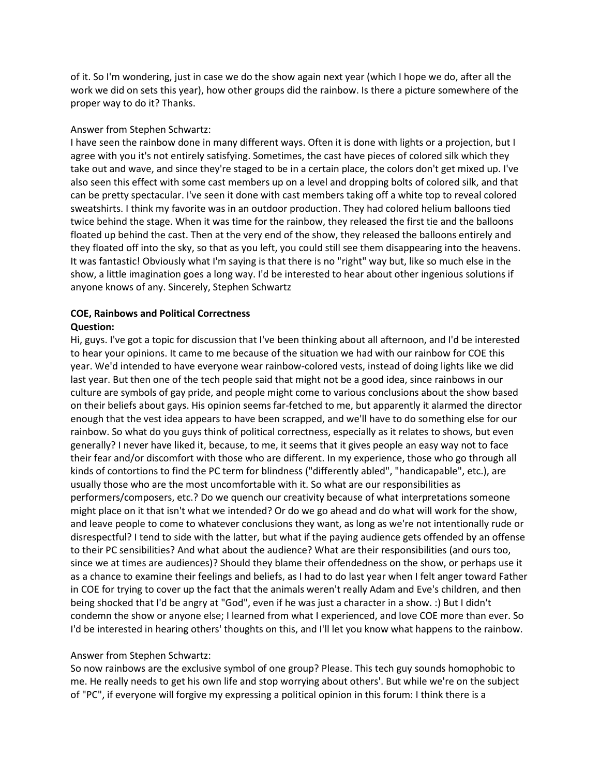of it. So I'm wondering, just in case we do the show again next year (which I hope we do, after all the work we did on sets this year), how other groups did the rainbow. Is there a picture somewhere of the proper way to do it? Thanks.

### Answer from Stephen Schwartz:

I have seen the rainbow done in many different ways. Often it is done with lights or a projection, but I agree with you it's not entirely satisfying. Sometimes, the cast have pieces of colored silk which they take out and wave, and since they're staged to be in a certain place, the colors don't get mixed up. I've also seen this effect with some cast members up on a level and dropping bolts of colored silk, and that can be pretty spectacular. I've seen it done with cast members taking off a white top to reveal colored sweatshirts. I think my favorite was in an outdoor production. They had colored helium balloons tied twice behind the stage. When it was time for the rainbow, they released the first tie and the balloons floated up behind the cast. Then at the very end of the show, they released the balloons entirely and they floated off into the sky, so that as you left, you could still see them disappearing into the heavens. It was fantastic! Obviously what I'm saying is that there is no "right" way but, like so much else in the show, a little imagination goes a long way. I'd be interested to hear about other ingenious solutions if anyone knows of any. Sincerely, Stephen Schwartz

### **COE, Rainbows and Political Correctness Question:**

Hi, guys. I've got a topic for discussion that I've been thinking about all afternoon, and I'd be interested to hear your opinions. It came to me because of the situation we had with our rainbow for COE this year. We'd intended to have everyone wear rainbow-colored vests, instead of doing lights like we did last year. But then one of the tech people said that might not be a good idea, since rainbows in our culture are symbols of gay pride, and people might come to various conclusions about the show based on their beliefs about gays. His opinion seems far-fetched to me, but apparently it alarmed the director enough that the vest idea appears to have been scrapped, and we'll have to do something else for our rainbow. So what do you guys think of political correctness, especially as it relates to shows, but even generally? I never have liked it, because, to me, it seems that it gives people an easy way not to face their fear and/or discomfort with those who are different. In my experience, those who go through all kinds of contortions to find the PC term for blindness ("differently abled", "handicapable", etc.), are usually those who are the most uncomfortable with it. So what are our responsibilities as performers/composers, etc.? Do we quench our creativity because of what interpretations someone might place on it that isn't what we intended? Or do we go ahead and do what will work for the show, and leave people to come to whatever conclusions they want, as long as we're not intentionally rude or disrespectful? I tend to side with the latter, but what if the paying audience gets offended by an offense to their PC sensibilities? And what about the audience? What are their responsibilities (and ours too, since we at times are audiences)? Should they blame their offendedness on the show, or perhaps use it as a chance to examine their feelings and beliefs, as I had to do last year when I felt anger toward Father in COE for trying to cover up the fact that the animals weren't really Adam and Eve's children, and then being shocked that I'd be angry at "God", even if he was just a character in a show. :) But I didn't condemn the show or anyone else; I learned from what I experienced, and love COE more than ever. So I'd be interested in hearing others' thoughts on this, and I'll let you know what happens to the rainbow.

### Answer from Stephen Schwartz:

So now rainbows are the exclusive symbol of one group? Please. This tech guy sounds homophobic to me. He really needs to get his own life and stop worrying about others'. But while we're on the subject of "PC", if everyone will forgive my expressing a political opinion in this forum: I think there is a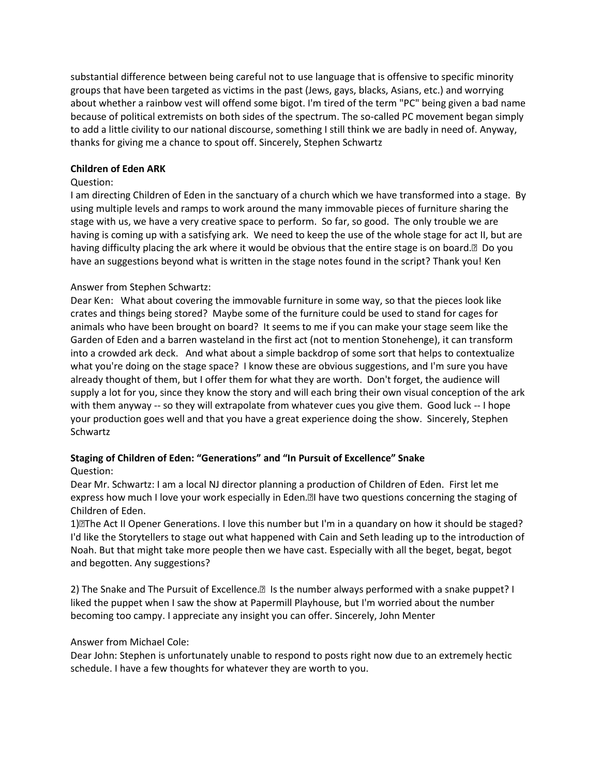substantial difference between being careful not to use language that is offensive to specific minority groups that have been targeted as victims in the past (Jews, gays, blacks, Asians, etc.) and worrying about whether a rainbow vest will offend some bigot. I'm tired of the term "PC" being given a bad name because of political extremists on both sides of the spectrum. The so-called PC movement began simply to add a little civility to our national discourse, something I still think we are badly in need of. Anyway, thanks for giving me a chance to spout off. Sincerely, Stephen Schwartz

## **Children of Eden ARK**

## Question:

I am directing Children of Eden in the sanctuary of a church which we have transformed into a stage. By using multiple levels and ramps to work around the many immovable pieces of furniture sharing the stage with us, we have a very creative space to perform. So far, so good. The only trouble we are having is coming up with a satisfying ark. We need to keep the use of the whole stage for act II, but are having difficulty placing the ark where it would be obvious that the entire stage is on board.• Do you have an suggestions beyond what is written in the stage notes found in the script? Thank you! Ken

## Answer from Stephen Schwartz:

Dear Ken: What about covering the immovable furniture in some way, so that the pieces look like crates and things being stored? Maybe some of the furniture could be used to stand for cages for animals who have been brought on board? It seems to me if you can make your stage seem like the Garden of Eden and a barren wasteland in the first act (not to mention Stonehenge), it can transform into a crowded ark deck. And what about a simple backdrop of some sort that helps to contextualize what you're doing on the stage space? I know these are obvious suggestions, and I'm sure you have already thought of them, but I offer them for what they are worth. Don't forget, the audience will supply a lot for you, since they know the story and will each bring their own visual conception of the ark with them anyway -- so they will extrapolate from whatever cues you give them. Good luck -- I hope your production goes well and that you have a great experience doing the show. Sincerely, Stephen Schwartz

# **Staging of Children of Eden: "Generations" and "In Pursuit of Excellence" Snake**

### Question:

Dear Mr. Schwartz: I am a local NJ director planning a production of Children of Eden. First let me express how much I love your work especially in Eden.•I have two questions concerning the staging of Children of Eden.

1)•The Act II Opener Generations. I love this number but I'm in a quandary on how it should be staged? I'd like the Storytellers to stage out what happened with Cain and Seth leading up to the introduction of Noah. But that might take more people then we have cast. Especially with all the beget, begat, begot and begotten. Any suggestions?

2) The Snake and The Pursuit of Excellence.• Is the number always performed with a snake puppet? I liked the puppet when I saw the show at Papermill Playhouse, but I'm worried about the number becoming too campy. I appreciate any insight you can offer. Sincerely, John Menter

# Answer from Michael Cole:

Dear John: Stephen is unfortunately unable to respond to posts right now due to an extremely hectic schedule. I have a few thoughts for whatever they are worth to you.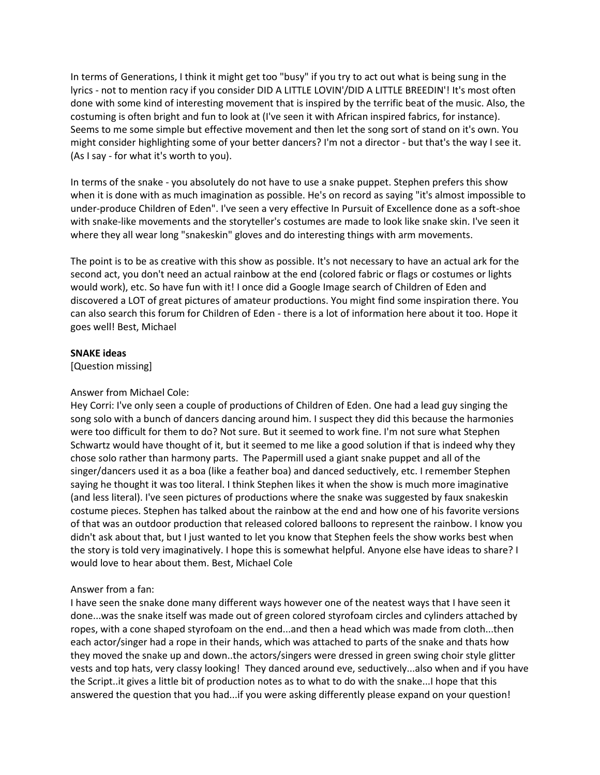In terms of Generations, I think it might get too "busy" if you try to act out what is being sung in the lyrics - not to mention racy if you consider DID A LITTLE LOVIN'/DID A LITTLE BREEDIN'! It's most often done with some kind of interesting movement that is inspired by the terrific beat of the music. Also, the costuming is often bright and fun to look at (I've seen it with African inspired fabrics, for instance). Seems to me some simple but effective movement and then let the song sort of stand on it's own. You might consider highlighting some of your better dancers? I'm not a director - but that's the way I see it. (As I say - for what it's worth to you).

In terms of the snake - you absolutely do not have to use a snake puppet. Stephen prefers this show when it is done with as much imagination as possible. He's on record as saying "it's almost impossible to under-produce Children of Eden". I've seen a very effective In Pursuit of Excellence done as a soft-shoe with snake-like movements and the storyteller's costumes are made to look like snake skin. I've seen it where they all wear long "snakeskin" gloves and do interesting things with arm movements.

The point is to be as creative with this show as possible. It's not necessary to have an actual ark for the second act, you don't need an actual rainbow at the end (colored fabric or flags or costumes or lights would work), etc. So have fun with it! I once did a Google Image search of Children of Eden and discovered a LOT of great pictures of amateur productions. You might find some inspiration there. You can also search this forum for Children of Eden - there is a lot of information here about it too. Hope it goes well! Best, Michael

### **SNAKE ideas**

[Question missing]

### Answer from Michael Cole:

Hey Corri: I've only seen a couple of productions of Children of Eden. One had a lead guy singing the song solo with a bunch of dancers dancing around him. I suspect they did this because the harmonies were too difficult for them to do? Not sure. But it seemed to work fine. I'm not sure what Stephen Schwartz would have thought of it, but it seemed to me like a good solution if that is indeed why they chose solo rather than harmony parts. The Papermill used a giant snake puppet and all of the singer/dancers used it as a boa (like a feather boa) and danced seductively, etc. I remember Stephen saying he thought it was too literal. I think Stephen likes it when the show is much more imaginative (and less literal). I've seen pictures of productions where the snake was suggested by faux snakeskin costume pieces. Stephen has talked about the rainbow at the end and how one of his favorite versions of that was an outdoor production that released colored balloons to represent the rainbow. I know you didn't ask about that, but I just wanted to let you know that Stephen feels the show works best when the story is told very imaginatively. I hope this is somewhat helpful. Anyone else have ideas to share? I would love to hear about them. Best, Michael Cole

### Answer from a fan:

I have seen the snake done many different ways however one of the neatest ways that I have seen it done...was the snake itself was made out of green colored styrofoam circles and cylinders attached by ropes, with a cone shaped styrofoam on the end...and then a head which was made from cloth...then each actor/singer had a rope in their hands, which was attached to parts of the snake and thats how they moved the snake up and down..the actors/singers were dressed in green swing choir style glitter vests and top hats, very classy looking! They danced around eve, seductively...also when and if you have the Script..it gives a little bit of production notes as to what to do with the snake...I hope that this answered the question that you had...if you were asking differently please expand on your question!